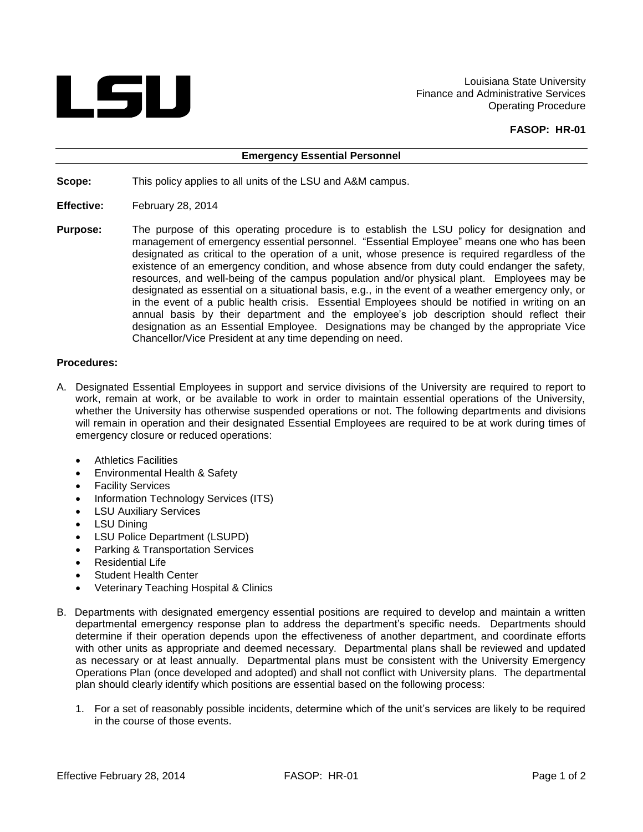

Louisiana State University Finance and Administrative Services Operating Procedure

## **FASOP: HR-01**

## **Emergency Essential Personnel**

**Scope:** This policy applies to all units of the LSU and A&M campus.

- **Effective:** February 28, 2014
- **Purpose:** The purpose of this operating procedure is to establish the LSU policy for designation and management of emergency essential personnel. "Essential Employee" means one who has been designated as critical to the operation of a unit, whose presence is required regardless of the existence of an emergency condition, and whose absence from duty could endanger the safety, resources, and well-being of the campus population and/or physical plant. Employees may be designated as essential on a situational basis, e.g., in the event of a weather emergency only, or in the event of a public health crisis. Essential Employees should be notified in writing on an annual basis by their department and the employee's job description should reflect their designation as an Essential Employee. Designations may be changed by the appropriate Vice Chancellor/Vice President at any time depending on need.

## **Procedures:**

- A. Designated Essential Employees in support and service divisions of the University are required to report to work, remain at work, or be available to work in order to maintain essential operations of the University, whether the University has otherwise suspended operations or not. The following departments and divisions will remain in operation and their designated Essential Employees are required to be at work during times of emergency closure or reduced operations:
	- Athletics Facilities
	- Environmental Health & Safety
	- Facility Services
	- Information Technology Services (ITS)
	- LSU Auxiliary Services
	- LSU Dining
	- LSU Police Department (LSUPD)
	- Parking & Transportation Services
	- Residential Life
	- Student Health Center
	- Veterinary Teaching Hospital & Clinics
- B. Departments with designated emergency essential positions are required to develop and maintain a written departmental emergency response plan to address the department's specific needs. Departments should determine if their operation depends upon the effectiveness of another department, and coordinate efforts with other units as appropriate and deemed necessary. Departmental plans shall be reviewed and updated as necessary or at least annually. Departmental plans must be consistent with the University Emergency Operations Plan (once developed and adopted) and shall not conflict with University plans. The departmental plan should clearly identify which positions are essential based on the following process:
	- 1. For a set of reasonably possible incidents, determine which of the unit's services are likely to be required in the course of those events.